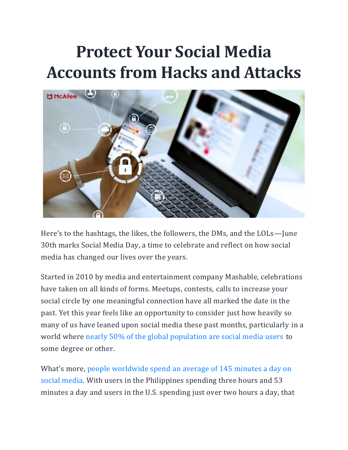# **Protect Your Social Media Accounts from Hacks and Attacks**



Here's to the hashtags, the likes, the followers, the DMs, and the LOLs—June 30th marks Social Media Day, a time to celebrate and reflect on how social media has changed our lives over the years.

Started in 2010 by media and entertainment company Mashable, celebrations have taken on all kinds of forms. Meetups, contests, calls to increase your social circle by one meaningful connection have all marked the date in the past. Yet this year feels like an opportunity to consider just how heavily so many of us have leaned upon social media these past months, particularly in a world where [nearly 50% of the global population are social media users](https://www.statista.com/statistics/260811/social-network-penetration-worldwide/) to some degree or other.

What's more, people worldwide spend [an average of 145 minutes a day on](https://www.statista.com/statistics/433871/daily-social-media-usage-worldwide/)  [social media.](https://www.statista.com/statistics/433871/daily-social-media-usage-worldwide/) With users in the Philippines spending three hours and 53 minutes a day and users in the U.S. spending just over two hours a day, that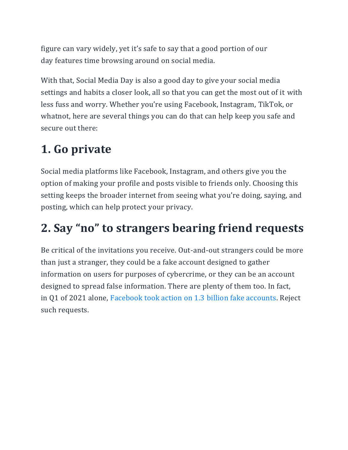figure can vary widely, yet it's safe to say that a good portion of our day features time browsing around on social media.

With that, Social Media Day is also a good day to give your social media settings and habits a closer look, all so that you can get the most out of it with less fuss and worry. Whether you're using Facebook, Instagram, TikTok, or whatnot, here are several things you can do that can help keep you safe and secure out there:

# **1. Go private**

Social media platforms like Facebook, Instagram, and others give you the option of making your profile and posts visible to friends only. Choosing this setting keeps the broader internet from seeing what you're doing, saying, and posting, which can help protect your privacy.

#### **2. Say "no" to strangers bearing friend requests**

Be critical of the invitations you receive. Out-and-out strangers could be more than just a stranger, they could be a fake account designed to gather information on users for purposes of cybercrime, or they can be an account designed to spread false information. There are plenty of them too. In fact, in Q1 of 2021 alone, [Facebook took action on 1.3](https://transparency.fb.com/data/community-standards-enforcement/fake-accounts/facebook) billion fake accounts. Reject such requests.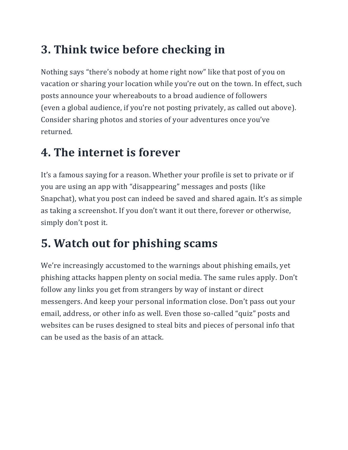## **3. Think twice before checking in**

Nothing says "there's nobody at home right now" like that post of you on vacation or sharing your location while you're out on the town. In effect, such posts announce your whereabouts to a broad audience of followers (even a global audience, if you're not posting privately, as called out above). Consider sharing photos and stories of your adventures once you've returned.

#### **4. The internet is forever**

It's a famous saying for a reason. Whether your profile is set to private or if you are using an app with "disappearing" messages and posts (like Snapchat), what you post can indeed be saved and shared again. It's as simple as taking a screenshot. If you don't want it out there, forever or otherwise, simply don't post it.

## **5. Watch out for phishing scams**

We're increasingly accustomed to the warnings about phishing emails, yet phishing attacks happen plenty on social media. The same rules apply. Don't follow any links you get from strangers by way of instant or direct messengers. And keep your personal information close. Don't pass out your email, address, or other info as well. Even those so-called "quiz" posts and websites can be ruses designed to steal bits and pieces of personal info that can be used as the basis of an attack.